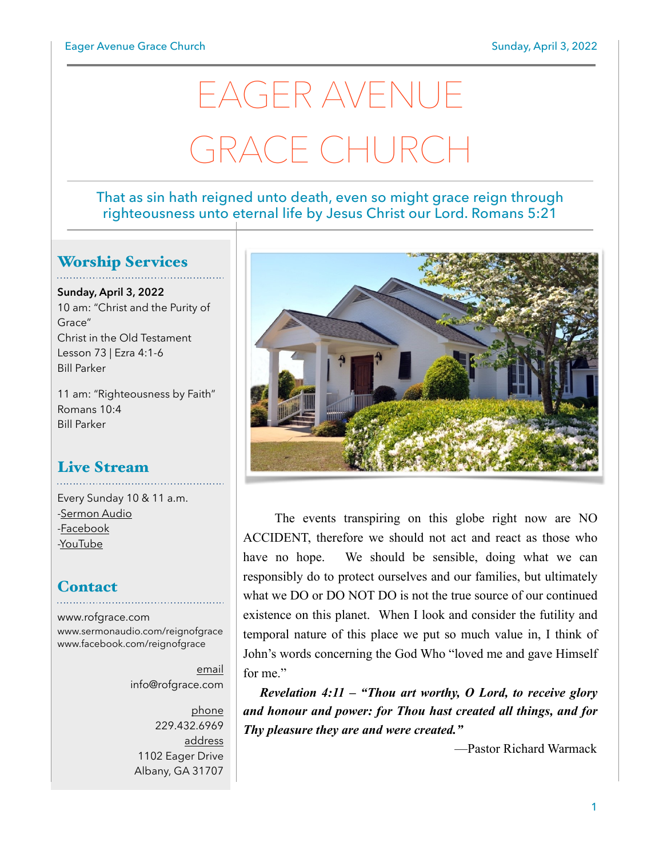# EAGER AVENUE GRACE CHURCI

## That as sin hath reigned unto death, even so might grace reign through righteousness unto eternal life by Jesus Christ our Lord. Romans 5:21

## Worship Services

**Sunday, April 3, 2022** 10 am: "Christ and the Purity of Grace" Christ in the Old Testament Lesson 73 | Ezra 4:1-6 Bill Parker

11 am: "Righteousness by Faith" Romans 10:4 Bill Parker

# Live Stream

Every Sunday 10 & 11 a.m. [-Sermon Audio](http://sermonaudio.com/reignofgrace) [-Facebook](http://facebook.com/eageravechurch) [-YouTube](http://youtube.com/channel/UCu_lTHCIUOK0cka9AjFV_5Q/live)

## **Contact**

[www.rofgrace.com](http://www.rofgrace.com) [www.sermonaudio.com/reignofgrace](http://www.sermonaudio.com/reignofgrace) [www.facebook.com/reignofgrace](http://www.facebook.com/reignofgrace)

> email [info@rofgrace.com](mailto:info@rofgrace.com?subject=)

phone 229.432.6969 address 1102 Eager Drive Albany, GA 31707



 The events transpiring on this globe right now are NO ACCIDENT, therefore we should not act and react as those who have no hope. We should be sensible, doing what we can responsibly do to protect ourselves and our families, but ultimately what we DO or DO NOT DO is not the true source of our continued existence on this planet. When I look and consider the futility and temporal nature of this place we put so much value in, I think of John's words concerning the God Who "loved me and gave Himself for me"

*Revelation 4:11 – "Thou art worthy, O Lord, to receive glory and honour and power: for Thou hast created all things, and for Thy pleasure they are and were created."*

—Pastor Richard Warmack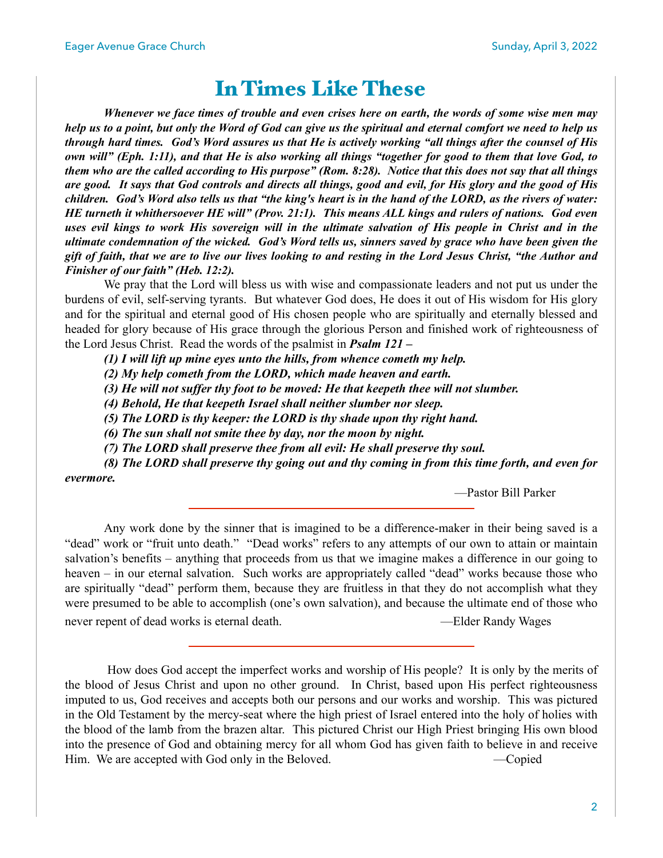# In Times Like These

*Whenever we face times of trouble and even crises here on earth, the words of some wise men may help us to a point, but only the Word of God can give us the spiritual and eternal comfort we need to help us through hard times. God's Word assures us that He is actively working "all things after the counsel of His own will" (Eph. 1:11), and that He is also working all things "together for good to them that love God, to them who are the called according to His purpose" (Rom. 8:28). Notice that this does not say that all things are good. It says that God controls and directs all things, good and evil, for His glory and the good of His children. God's Word also tells us that "the king's heart is in the hand of the LORD, as the rivers of water: HE turneth it whithersoever HE will" (Prov. 21:1). This means ALL kings and rulers of nations. God even uses evil kings to work His sovereign will in the ultimate salvation of His people in Christ and in the ultimate condemnation of the wicked. God's Word tells us, sinners saved by grace who have been given the gift of faith, that we are to live our lives looking to and resting in the Lord Jesus Christ, "the Author and Finisher of our faith" (Heb. 12:2).* 

 We pray that the Lord will bless us with wise and compassionate leaders and not put us under the burdens of evil, self-serving tyrants. But whatever God does, He does it out of His wisdom for His glory and for the spiritual and eternal good of His chosen people who are spiritually and eternally blessed and headed for glory because of His grace through the glorious Person and finished work of righteousness of the Lord Jesus Christ. Read the words of the psalmist in *Psalm 121 –* 

 *(1) I will lift up mine eyes unto the hills, from whence cometh my help.* 

 *(2) My help cometh from the LORD, which made heaven and earth.* 

 *(3) He will not suffer thy foot to be moved: He that keepeth thee will not slumber.* 

 *(4) Behold, He that keepeth Israel shall neither slumber nor sleep.* 

 *(5) The LORD is thy keeper: the LORD is thy shade upon thy right hand.* 

 *(6) The sun shall not smite thee by day, nor the moon by night.* 

 *(7) The LORD shall preserve thee from all evil: He shall preserve thy soul.* 

 *(8) The LORD shall preserve thy going out and thy coming in from this time forth, and even for evermore.*

—Pastor Bill Parker

Any work done by the sinner that is imagined to be a difference-maker in their being saved is a "dead" work or "fruit unto death." "Dead works" refers to any attempts of our own to attain or maintain salvation's benefits – anything that proceeds from us that we imagine makes a difference in our going to heaven – in our eternal salvation. Such works are appropriately called "dead" works because those who are spiritually "dead" perform them, because they are fruitless in that they do not accomplish what they were presumed to be able to accomplish (one's own salvation), and because the ultimate end of those who never repent of dead works is eternal death. — — — — — — — — — — — Elder Randy Wages

 How does God accept the imperfect works and worship of His people? It is only by the merits of the blood of Jesus Christ and upon no other ground. In Christ, based upon His perfect righteousness imputed to us, God receives and accepts both our persons and our works and worship. This was pictured in the Old Testament by the mercy-seat where the high priest of Israel entered into the holy of holies with the blood of the lamb from the brazen altar. This pictured Christ our High Priest bringing His own blood into the presence of God and obtaining mercy for all whom God has given faith to believe in and receive Him. We are accepted with God only in the Beloved. —Copied